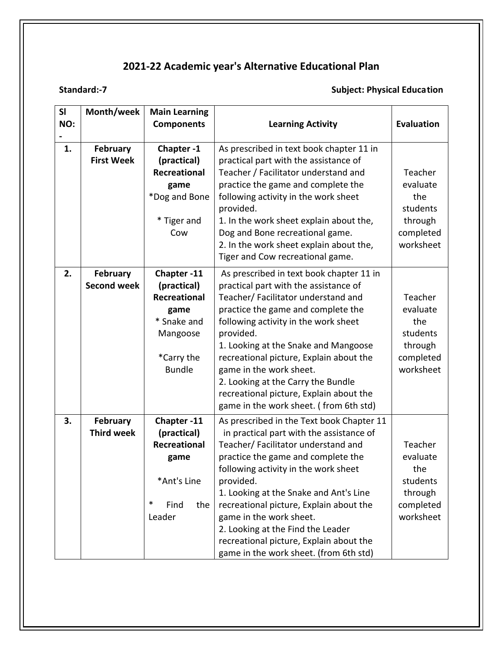### **Standard:-7 Subject: Physical Education**

| SI<br>NO: | Month/week                            | <b>Main Learning</b><br><b>Components</b>                                                                   | <b>Learning Activity</b>                                                                                                                                                                                                                                                                                                                                                                                                                                          | <b>Evaluation</b>                                                           |
|-----------|---------------------------------------|-------------------------------------------------------------------------------------------------------------|-------------------------------------------------------------------------------------------------------------------------------------------------------------------------------------------------------------------------------------------------------------------------------------------------------------------------------------------------------------------------------------------------------------------------------------------------------------------|-----------------------------------------------------------------------------|
|           |                                       |                                                                                                             |                                                                                                                                                                                                                                                                                                                                                                                                                                                                   |                                                                             |
| 1.        | <b>February</b><br><b>First Week</b>  | Chapter-1<br>(practical)<br><b>Recreational</b><br>game<br>*Dog and Bone<br>* Tiger and<br>Cow              | As prescribed in text book chapter 11 in<br>practical part with the assistance of<br>Teacher / Facilitator understand and<br>practice the game and complete the<br>following activity in the work sheet<br>provided.<br>1. In the work sheet explain about the,<br>Dog and Bone recreational game.                                                                                                                                                                | Teacher<br>evaluate<br>the<br>students<br>through<br>completed              |
|           |                                       |                                                                                                             | 2. In the work sheet explain about the,<br>Tiger and Cow recreational game.                                                                                                                                                                                                                                                                                                                                                                                       | worksheet                                                                   |
| 2.        | <b>February</b><br><b>Second week</b> | Chapter-11<br>(practical)<br>Recreational<br>game<br>* Snake and<br>Mangoose<br>*Carry the<br><b>Bundle</b> | As prescribed in text book chapter 11 in<br>practical part with the assistance of<br>Teacher/ Facilitator understand and<br>practice the game and complete the<br>following activity in the work sheet<br>provided.<br>1. Looking at the Snake and Mangoose<br>recreational picture, Explain about the<br>game in the work sheet.<br>2. Looking at the Carry the Bundle<br>recreational picture, Explain about the<br>game in the work sheet. (from 6th std)      | Teacher<br>evaluate<br>the<br>students<br>through<br>completed<br>worksheet |
| 3.        | <b>February</b><br><b>Third week</b>  | Chapter-11<br>(practical)<br>Recreational<br>game<br>*Ant's Line<br>$\ast$<br>Find<br>the<br>Leader         | As prescribed in the Text book Chapter 11<br>in practical part with the assistance of<br>Teacher/ Facilitator understand and<br>practice the game and complete the<br>following activity in the work sheet<br>provided.<br>1. Looking at the Snake and Ant's Line<br>recreational picture, Explain about the<br>game in the work sheet.<br>2. Looking at the Find the Leader<br>recreational picture, Explain about the<br>game in the work sheet. (from 6th std) | Teacher<br>evaluate<br>the<br>students<br>through<br>completed<br>worksheet |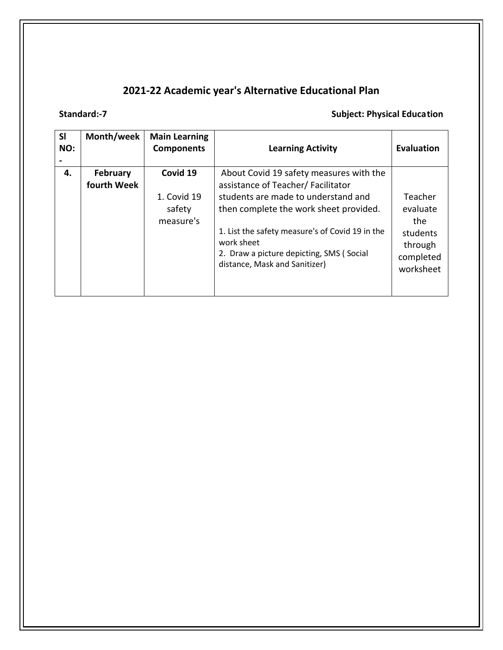### **Standard:-7** Standard:-7 Subject: Physical Education **Subject: Physical Education**

| <b>SI</b><br>NO: | Month/week              | <b>Main Learning</b><br><b>Components</b>      | <b>Learning Activity</b>                                                                                                                                                                                                                                                                                    | <b>Evaluation</b>                                                           |
|------------------|-------------------------|------------------------------------------------|-------------------------------------------------------------------------------------------------------------------------------------------------------------------------------------------------------------------------------------------------------------------------------------------------------------|-----------------------------------------------------------------------------|
| 4.               | February<br>fourth Week | Covid 19<br>1. Covid 19<br>safety<br>measure's | About Covid 19 safety measures with the<br>assistance of Teacher/Facilitator<br>students are made to understand and<br>then complete the work sheet provided.<br>1. List the safety measure's of Covid 19 in the<br>work sheet<br>2. Draw a picture depicting, SMS (Social<br>distance, Mask and Sanitizer) | Teacher<br>evaluate<br>the<br>students<br>through<br>completed<br>worksheet |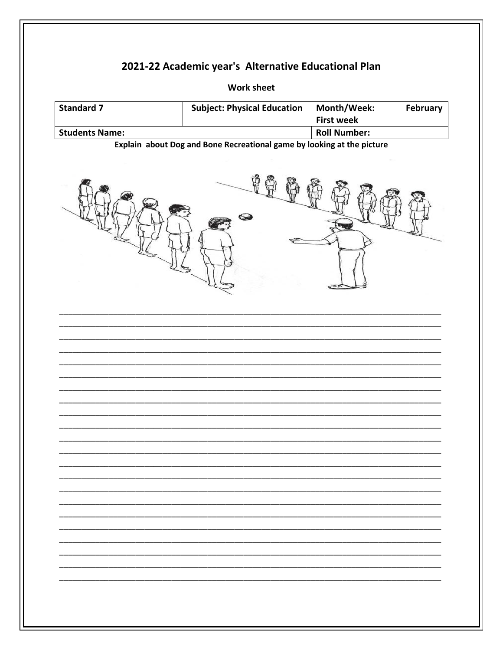**Work sheet** 

| <b>Standard 7</b>                                                      | <b>Subject: Physical Education</b> | February<br>Month/Week:<br><b>First week</b> |  |  |
|------------------------------------------------------------------------|------------------------------------|----------------------------------------------|--|--|
| <b>Students Name:</b>                                                  |                                    | <b>Roll Number:</b>                          |  |  |
| Explain about Dog and Bone Recreational game by looking at the picture |                                    |                                              |  |  |
|                                                                        |                                    |                                              |  |  |
|                                                                        |                                    |                                              |  |  |
|                                                                        |                                    |                                              |  |  |
|                                                                        |                                    |                                              |  |  |
|                                                                        |                                    |                                              |  |  |
|                                                                        |                                    |                                              |  |  |
|                                                                        |                                    |                                              |  |  |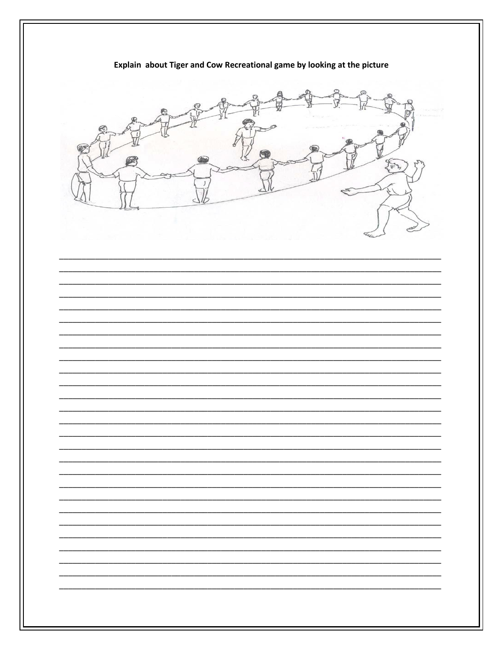Explain about Tiger and Cow Recreational game by looking at the picture YEAR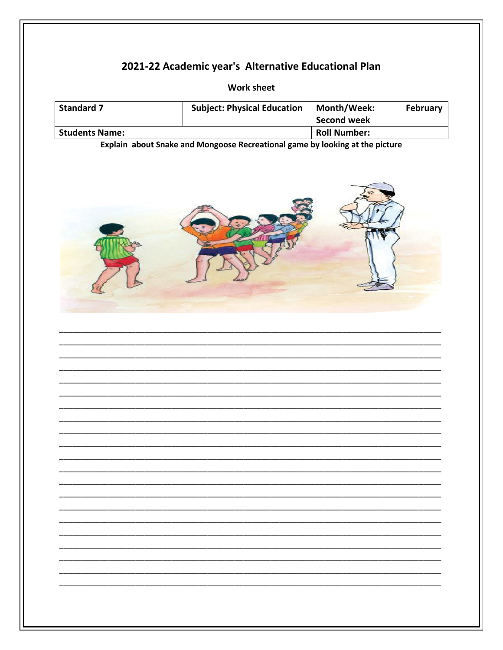**Work sheet** 

| <b>Standard 7</b>                                                            | <b>Subject: Physical Education</b> | Month/Week:<br><b>Second week</b> | February |  |
|------------------------------------------------------------------------------|------------------------------------|-----------------------------------|----------|--|
| <b>Students Name:</b>                                                        |                                    | <b>Roll Number:</b>               |          |  |
| Explain about Snake and Mongoose Recreational game by looking at the picture |                                    |                                   |          |  |
|                                                                              |                                    |                                   |          |  |
|                                                                              |                                    |                                   |          |  |
|                                                                              |                                    |                                   |          |  |
|                                                                              |                                    |                                   |          |  |
|                                                                              |                                    |                                   |          |  |
|                                                                              |                                    |                                   |          |  |
|                                                                              |                                    |                                   |          |  |
|                                                                              |                                    |                                   |          |  |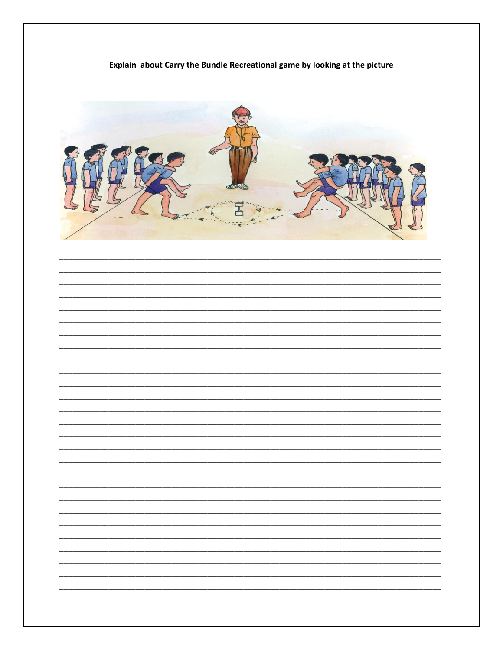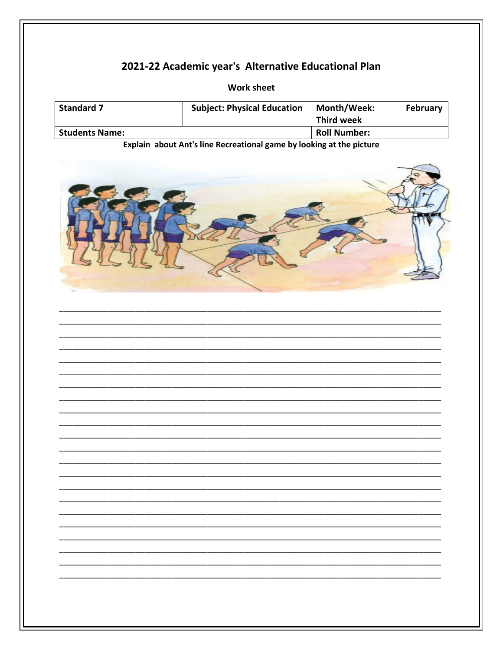**Work sheet** 

| <b>Standard 7</b>     | <b>Subject: Physical Education</b> | <b>Month/Week:</b><br><b>Third week</b> | February |
|-----------------------|------------------------------------|-----------------------------------------|----------|
| <b>Students Name:</b> |                                    | <b>Roll Number:</b>                     |          |

Explain about Ant's line Recreational game by looking at the picture



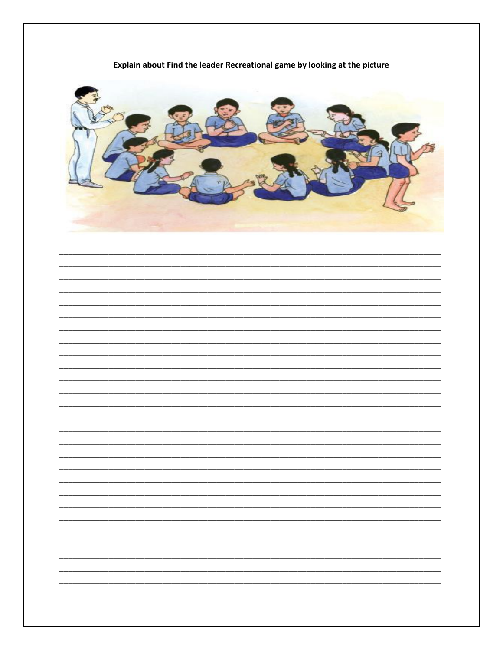